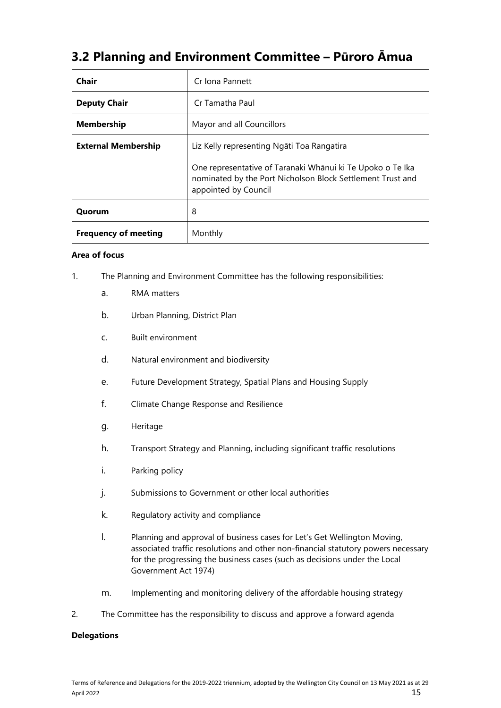# **3.2 Planning and Environment Committee – Pūroro Āmua**

| Chair                       | Cr Iona Pannett                                                                                                                                  |
|-----------------------------|--------------------------------------------------------------------------------------------------------------------------------------------------|
| <b>Deputy Chair</b>         | Cr Tamatha Paul                                                                                                                                  |
| <b>Membership</b>           | Mayor and all Councillors                                                                                                                        |
| <b>External Membership</b>  | Liz Kelly representing Ngāti Toa Rangatira                                                                                                       |
|                             | One representative of Taranaki Whānui ki Te Upoko o Te Ika<br>nominated by the Port Nicholson Block Settlement Trust and<br>appointed by Council |
| Quorum                      | 8                                                                                                                                                |
| <b>Frequency of meeting</b> | Monthly                                                                                                                                          |

### **Area of focus**

- 1. The Planning and Environment Committee has the following responsibilities:
	- a. RMA matters
	- b. Urban Planning, District Plan
	- c. Built environment
	- d. Natural environment and biodiversity
	- e. Future Development Strategy, Spatial Plans and Housing Supply
	- f. Climate Change Response and Resilience
	- g. Heritage
	- h. Transport Strategy and Planning, including significant traffic resolutions
	- i. Parking policy
	- j. Submissions to Government or other local authorities
	- k. Regulatory activity and compliance
	- l. Planning and approval of business cases for Let's Get Wellington Moving, associated traffic resolutions and other non-financial statutory powers necessary for the progressing the business cases (such as decisions under the Local Government Act 1974)
	- m. Implementing and monitoring delivery of the affordable housing strategy
- 2. The Committee has the responsibility to discuss and approve a forward agenda

### **Delegations**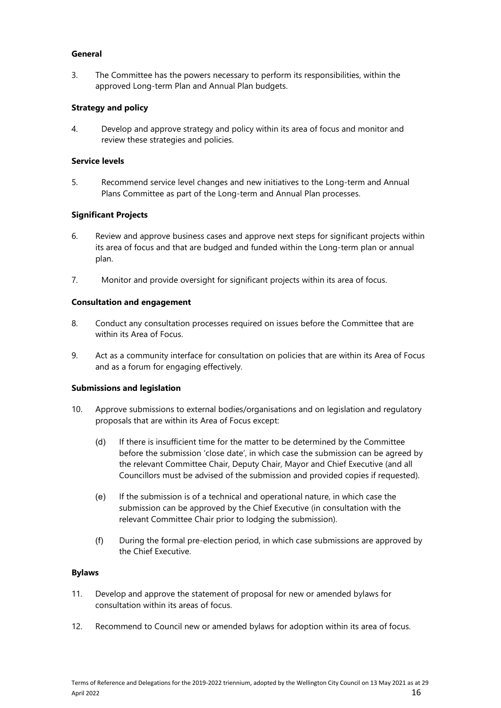### **General**

3. The Committee has the powers necessary to perform its responsibilities, within the approved Long-term Plan and Annual Plan budgets.

## **Strategy and policy**

4. Develop and approve strategy and policy within its area of focus and monitor and review these strategies and policies.

### **Service levels**

5. Recommend service level changes and new initiatives to the Long-term and Annual Plans Committee as part of the Long-term and Annual Plan processes.

### **Significant Projects**

- 6. Review and approve business cases and approve next steps for significant projects within its area of focus and that are budged and funded within the Long-term plan or annual plan.
- 7. Monitor and provide oversight for significant projects within its area of focus.

### **Consultation and engagement**

- 8. Conduct any consultation processes required on issues before the Committee that are within its Area of Focus.
- 9. Act as a community interface for consultation on policies that are within its Area of Focus and as a forum for engaging effectively.

### **Submissions and legislation**

- 10. Approve submissions to external bodies/organisations and on legislation and regulatory proposals that are within its Area of Focus except:
	- (d) If there is insufficient time for the matter to be determined by the Committee before the submission 'close date', in which case the submission can be agreed by the relevant Committee Chair, Deputy Chair, Mayor and Chief Executive (and all Councillors must be advised of the submission and provided copies if requested).
	- (e) If the submission is of a technical and operational nature, in which case the submission can be approved by the Chief Executive (in consultation with the relevant Committee Chair prior to lodging the submission).
	- (f) During the formal pre-election period, in which case submissions are approved by the Chief Executive.

#### **Bylaws**

- 11. Develop and approve the statement of proposal for new or amended bylaws for consultation within its areas of focus.
- 12. Recommend to Council new or amended bylaws for adoption within its area of focus.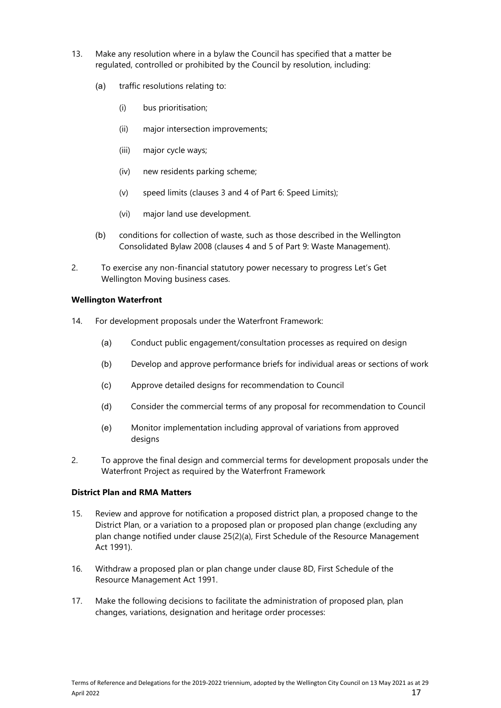- 13. Make any resolution where in a bylaw the Council has specified that a matter be regulated, controlled or prohibited by the Council by resolution, including:
	- (a) traffic resolutions relating to:
		- (i) bus prioritisation;
		- (ii) major intersection improvements;
		- (iii) major cycle ways;
		- (iv) new residents parking scheme;
		- (v) speed limits (clauses 3 and 4 of Part 6: Speed Limits);
		- (vi) major land use development.
	- (b) conditions for collection of waste, such as those described in the Wellington Consolidated Bylaw 2008 (clauses 4 and 5 of Part 9: Waste Management).
- 2. To exercise any non-financial statutory power necessary to progress Let's Get Wellington Moving business cases.

### **Wellington Waterfront**

- 14. For development proposals under the Waterfront Framework:
	- (a) Conduct public engagement/consultation processes as required on design
	- (b) Develop and approve performance briefs for individual areas or sections of work
	- (c) Approve detailed designs for recommendation to Council
	- (d) Consider the commercial terms of any proposal for recommendation to Council
	- (e) Monitor implementation including approval of variations from approved designs
- 2. To approve the final design and commercial terms for development proposals under the Waterfront Project as required by the Waterfront Framework

# **District Plan and RMA Matters**

- 15. Review and approve for notification a proposed district plan, a proposed change to the District Plan, or a variation to a proposed plan or proposed plan change (excluding any plan change notified under clause 25(2)(a), First Schedule of the Resource Management Act 1991).
- 16. Withdraw a proposed plan or plan change under clause 8D, First Schedule of the Resource Management Act 1991.
- 17. Make the following decisions to facilitate the administration of proposed plan, plan changes, variations, designation and heritage order processes: